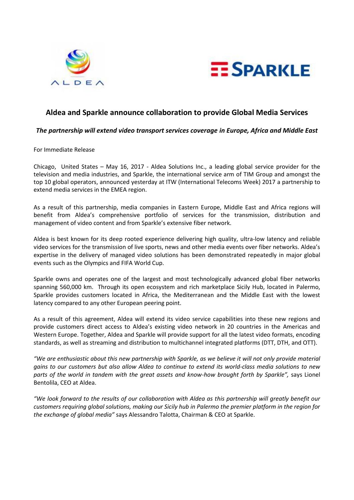



# **Aldea and Sparkle announce collaboration to provide Global Media Services**

## *The partnership will extend video transport services coverage in Europe, Africa and Middle East*

### For Immediate Release

Chicago, United States – May 16, 2017 - Aldea Solutions Inc., a leading global service provider for the television and media industries, and Sparkle, the international service arm of TIM Group and amongst the top 10 global operators, announced yesterday at ITW (International Telecoms Week) 2017 a partnership to extend media services in the EMEA region.

As a result of this partnership, media companies in Eastern Europe, Middle East and Africa regions will benefit from Aldea's comprehensive portfolio of services for the transmission, distribution and management of video content and from Sparkle's extensive fiber network.

Aldea is best known for its deep rooted experience delivering high quality, ultra-low latency and reliable video services for the transmission of live sports, news and other media events over fiber networks. Aldea's expertise in the delivery of managed video solutions has been demonstrated repeatedly in major global events such as the Olympics and FIFA World Cup.

Sparkle owns and operates one of the largest and most technologically advanced global fiber networks spanning 560,000 km. Through its open ecosystem and rich marketplace Sicily Hub, located in Palermo, Sparkle provides customers located in Africa, the Mediterranean and the Middle East with the lowest latency compared to any other European peering point.

As a result of this agreement, Aldea will extend its video service capabilities into these new regions and provide customers direct access to Aldea's existing video network in 20 countries in the Americas and Western Europe. Together, Aldea and Sparkle will provide support for all the latest video formats, encoding standards, as well as streaming and distribution to multichannel integrated platforms (DTT, DTH, and OTT).

*"We are enthusiastic about this new partnership with Sparkle, as we believe it will not only provide material gains to our customers but also allow Aldea to continue to extend its world-class media solutions to new parts of the world in tandem with the great assets and know-how brought forth by Sparkle",* says Lionel Bentolila, CEO at Aldea.

*"We look forward to the results of our collaboration with Aldea as this partnership will greatly benefit our customers requiring global solutions, making our Sicily hub in Palermo the premier platform in the region for the exchange of global media"* says Alessandro Talotta, Chairman & CEO at Sparkle.